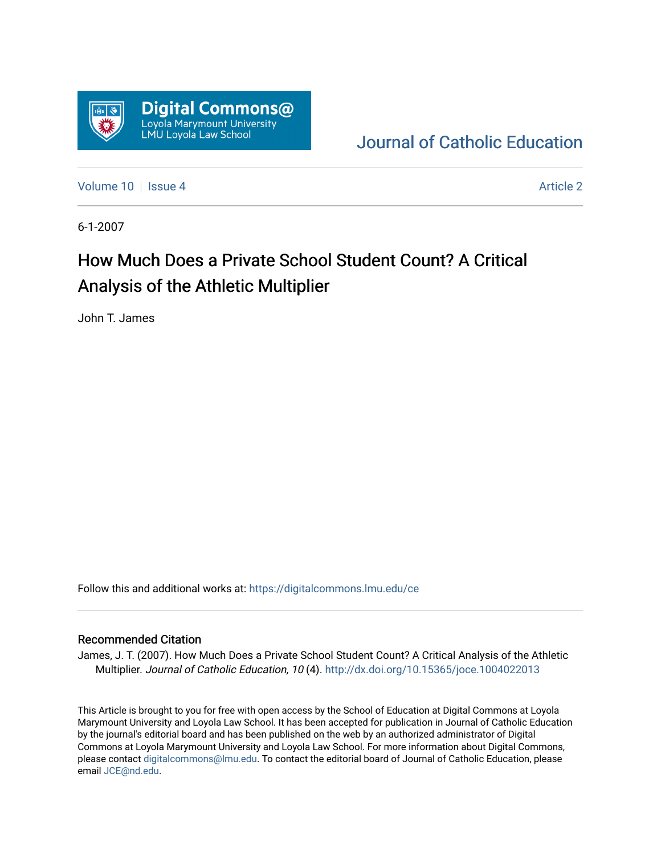

## [Journal of Catholic Education](https://digitalcommons.lmu.edu/ce)

[Volume 10](https://digitalcommons.lmu.edu/ce/vol10) | [Issue 4](https://digitalcommons.lmu.edu/ce/vol10/iss4) Article 2

6-1-2007

# How Much Does a Private School Student Count? A Critical Analysis of the Athletic Multiplier

John T. James

Follow this and additional works at: [https://digitalcommons.lmu.edu/ce](https://digitalcommons.lmu.edu/ce?utm_source=digitalcommons.lmu.edu%2Fce%2Fvol10%2Fiss4%2F2&utm_medium=PDF&utm_campaign=PDFCoverPages)

#### Recommended Citation

James, J. T. (2007). How Much Does a Private School Student Count? A Critical Analysis of the Athletic Multiplier. Journal of Catholic Education, 10 (4).<http://dx.doi.org/10.15365/joce.1004022013>

This Article is brought to you for free with open access by the School of Education at Digital Commons at Loyola Marymount University and Loyola Law School. It has been accepted for publication in Journal of Catholic Education by the journal's editorial board and has been published on the web by an authorized administrator of Digital Commons at Loyola Marymount University and Loyola Law School. For more information about Digital Commons, please contact [digitalcommons@lmu.edu](mailto:digitalcommons@lmu.edu). To contact the editorial board of Journal of Catholic Education, please email [JCE@nd.edu](mailto:JCE@nd.edu).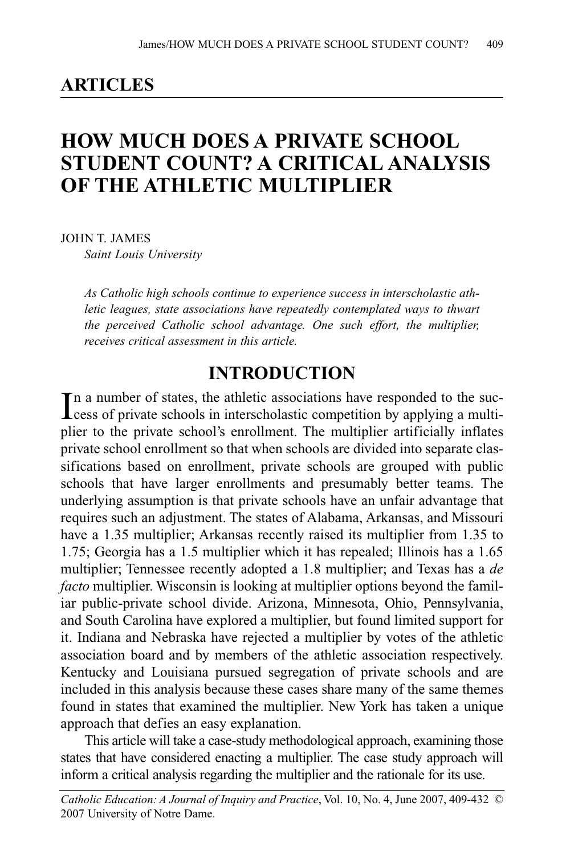### **ARTICLES**

## **HOW MUCH DOES A PRIVATE SCHOOL STUDENT COUNT? A CRITICAL ANALYSIS OF THE ATHLETIC MULTIPLIER**

JOHN T. JAMES

*Saint Louis University*

*As Catholic high schools continue to experience success in interscholastic athletic leagues, state associations have repeatedly contemplated ways to thwart the perceived Catholic school advantage. One such effort, the multiplier, receives critical assessment in this article.*

#### **INTRODUCTION**

In a number of states, the athletic associations have responded to the success of private schools in interscholastic competition by applying a multin a number of states, the athletic associations have responded to the sucplier to the private school's enrollment. The multiplier artificially inflates private school enrollment so that when schools are divided into separate classifications based on enrollment, private schools are grouped with public schools that have larger enrollments and presumably better teams. The underlying assumption is that private schools have an unfair advantage that requires such an adjustment. The states of Alabama, Arkansas, and Missouri have a 1.35 multiplier; Arkansas recently raised its multiplier from 1.35 to 1.75; Georgia has a 1.5 multiplier which it has repealed; Illinois has a 1.65 multiplier; Tennessee recently adopted a 1.8 multiplier; and Texas has a *de facto* multiplier. Wisconsin is looking at multiplier options beyond the familiar public-private school divide. Arizona, Minnesota, Ohio, Pennsylvania, and South Carolina have explored a multiplier, but found limited support for it. Indiana and Nebraska have rejected a multiplier by votes of the athletic association board and by members of the athletic association respectively. Kentucky and Louisiana pursued segregation of private schools and are included in this analysis because these cases share many of the same themes found in states that examined the multiplier. New York has taken a unique approach that defies an easy explanation.

This article will take a case-study methodological approach, examining those states that have considered enacting a multiplier. The case study approach will inform a critical analysis regarding the multiplier and the rationale for its use.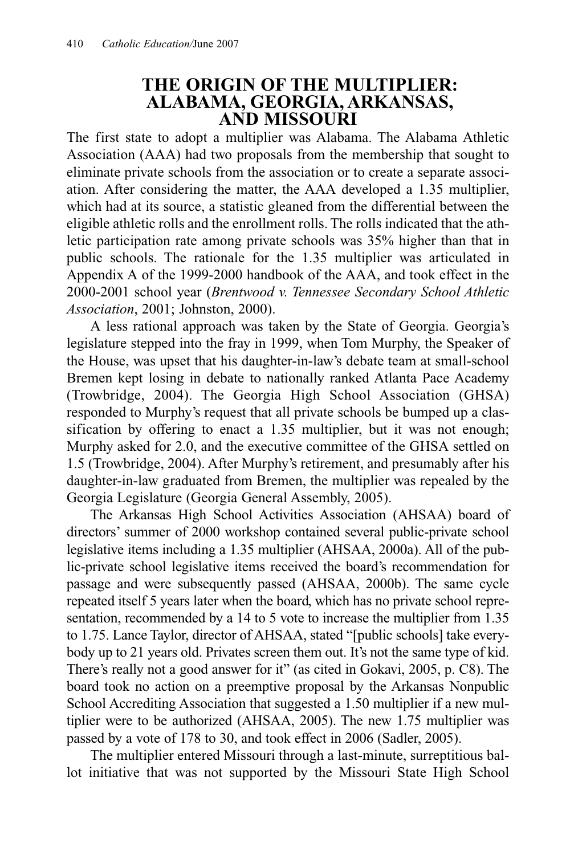#### **THE ORIGIN OF THE MULTIPLIER: ALABAMA, GEORGIA, ARKANSAS, AND MISSOURI**

The first state to adopt a multiplier was Alabama. The Alabama Athletic Association (AAA) had two proposals from the membership that sought to eliminate private schools from the association or to create a separate association. After considering the matter, the AAA developed a 1.35 multiplier, which had at its source, a statistic gleaned from the differential between the eligible athletic rolls and the enrollment rolls. The rolls indicated that the athletic participation rate among private schools was 35% higher than that in public schools. The rationale for the 1.35 multiplier was articulated in Appendix A of the 1999-2000 handbook of the AAA, and took effect in the 2000-2001 school year (*Brentwood v. Tennessee Secondary School Athletic Association*, 2001; Johnston, 2000).

A less rational approach was taken by the State of Georgia. Georgia's legislature stepped into the fray in 1999, when Tom Murphy, the Speaker of the House, was upset that his daughter-in-law's debate team at small-school Bremen kept losing in debate to nationally ranked Atlanta Pace Academy (Trowbridge, 2004). The Georgia High School Association (GHSA) responded to Murphy's request that all private schools be bumped up a classification by offering to enact a 1.35 multiplier, but it was not enough; Murphy asked for 2.0, and the executive committee of the GHSA settled on 1.5 (Trowbridge, 2004). After Murphy's retirement, and presumably after his daughter-in-law graduated from Bremen, the multiplier was repealed by the Georgia Legislature (Georgia General Assembly, 2005).

The Arkansas High School Activities Association (AHSAA) board of directors' summer of 2000 workshop contained several public-private school legislative items including a 1.35 multiplier (AHSAA, 2000a). All of the public-private school legislative items received the board's recommendation for passage and were subsequently passed (AHSAA, 2000b). The same cycle repeated itself 5 years later when the board, which has no private school representation, recommended by a 14 to 5 vote to increase the multiplier from 1.35 to 1.75. Lance Taylor, director of AHSAA, stated "[public schools] take everybody up to 21 years old. Privates screen them out. It's not the same type of kid. There's really not a good answer for it" (as cited in Gokavi, 2005, p. C8). The board took no action on a preemptive proposal by the Arkansas Nonpublic School Accrediting Association that suggested a 1.50 multiplier if a new multiplier were to be authorized (AHSAA, 2005). The new 1.75 multiplier was passed by a vote of 178 to 30, and took effect in 2006 (Sadler, 2005).

The multiplier entered Missouri through a last-minute, surreptitious ballot initiative that was not supported by the Missouri State High School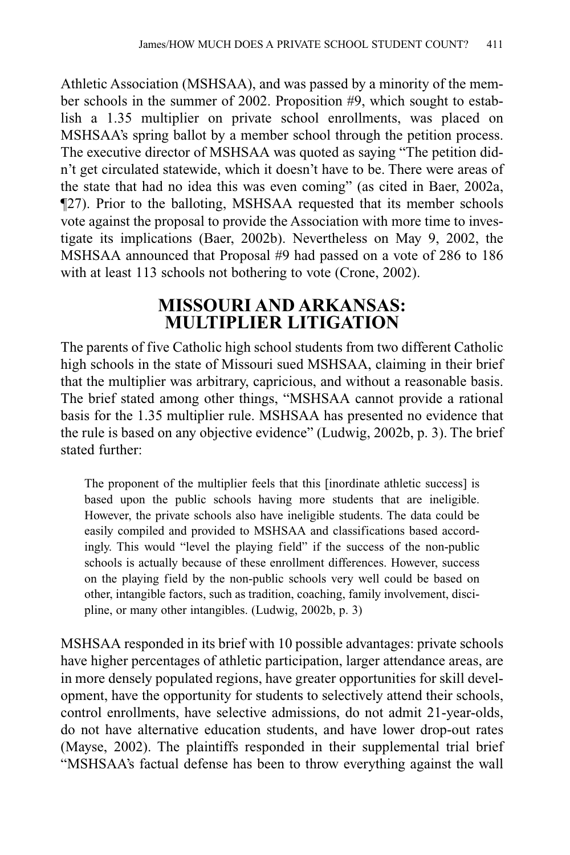Athletic Association (MSHSAA), and was passed by a minority of the member schools in the summer of 2002. Proposition #9, which sought to establish a 1.35 multiplier on private school enrollments, was placed on MSHSAA's spring ballot by a member school through the petition process. The executive director of MSHSAA was quoted as saying "The petition didn't get circulated statewide, which it doesn't have to be. There were areas of the state that had no idea this was even coming" (as cited in Baer, 2002a, ¶27). Prior to the balloting, MSHSAA requested that its member schools vote against the proposal to provide the Association with more time to investigate its implications (Baer, 2002b). Nevertheless on May 9, 2002, the MSHSAA announced that Proposal #9 had passed on a vote of 286 to 186 with at least 113 schools not bothering to vote (Crone, 2002).

#### **MISSOURI AND ARKANSAS: MULTIPLIER LITIGATION**

The parents of five Catholic high school students from two different Catholic high schools in the state of Missouri sued MSHSAA, claiming in their brief that the multiplier was arbitrary, capricious, and without a reasonable basis. The brief stated among other things, "MSHSAA cannot provide a rational basis for the 1.35 multiplier rule. MSHSAA has presented no evidence that the rule is based on any objective evidence" (Ludwig, 2002b, p. 3). The brief stated further:

The proponent of the multiplier feels that this [inordinate athletic success] is based upon the public schools having more students that are ineligible. However, the private schools also have ineligible students. The data could be easily compiled and provided to MSHSAA and classifications based accordingly. This would "level the playing field" if the success of the non-public schools is actually because of these enrollment differences. However, success on the playing field by the non-public schools very well could be based on other, intangible factors, such as tradition, coaching, family involvement, discipline, or many other intangibles. (Ludwig, 2002b, p. 3)

MSHSAA responded in its brief with 10 possible advantages: private schools have higher percentages of athletic participation, larger attendance areas, are in more densely populated regions, have greater opportunities for skill development, have the opportunity for students to selectively attend their schools, control enrollments, have selective admissions, do not admit 21-year-olds, do not have alternative education students, and have lower drop-out rates (Mayse, 2002). The plaintiffs responded in their supplemental trial brief "MSHSAA's factual defense has been to throw everything against the wall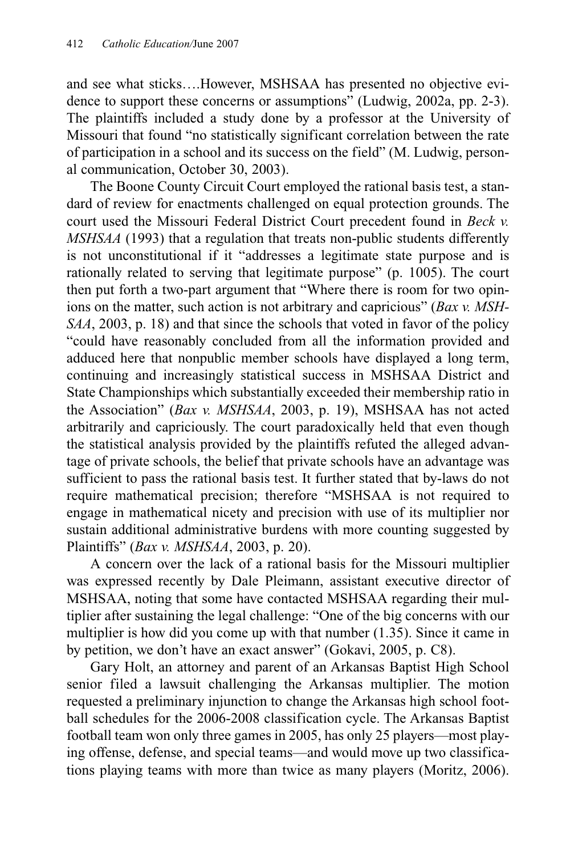and see what sticks….However, MSHSAA has presented no objective evidence to support these concerns or assumptions" (Ludwig, 2002a, pp. 2-3). The plaintiffs included a study done by a professor at the University of Missouri that found "no statistically significant correlation between the rate of participation in a school and its success on the field" (M. Ludwig, personal communication, October 30, 2003).

The Boone County Circuit Court employed the rational basis test, a standard of review for enactments challenged on equal protection grounds. The court used the Missouri Federal District Court precedent found in *Beck v. MSHSAA* (1993) that a regulation that treats non-public students differently is not unconstitutional if it "addresses a legitimate state purpose and is rationally related to serving that legitimate purpose" (p. 1005). The court then put forth a two-part argument that "Where there is room for two opinions on the matter, such action is not arbitrary and capricious" (*Bax v. MSH-SAA*, 2003, p. 18) and that since the schools that voted in favor of the policy "could have reasonably concluded from all the information provided and adduced here that nonpublic member schools have displayed a long term, continuing and increasingly statistical success in MSHSAA District and State Championships which substantially exceeded their membership ratio in the Association" (*Bax v. MSHSAA*, 2003, p. 19), MSHSAA has not acted arbitrarily and capriciously. The court paradoxically held that even though the statistical analysis provided by the plaintiffs refuted the alleged advantage of private schools, the belief that private schools have an advantage was sufficient to pass the rational basis test. It further stated that by-laws do not require mathematical precision; therefore "MSHSAA is not required to engage in mathematical nicety and precision with use of its multiplier nor sustain additional administrative burdens with more counting suggested by Plaintiffs" (*Bax v. MSHSAA*, 2003, p. 20).

A concern over the lack of a rational basis for the Missouri multiplier was expressed recently by Dale Pleimann, assistant executive director of MSHSAA, noting that some have contacted MSHSAA regarding their multiplier after sustaining the legal challenge: "One of the big concerns with our multiplier is how did you come up with that number (1.35). Since it came in by petition, we don't have an exact answer" (Gokavi, 2005, p. C8).

Gary Holt, an attorney and parent of an Arkansas Baptist High School senior filed a lawsuit challenging the Arkansas multiplier. The motion requested a preliminary injunction to change the Arkansas high school football schedules for the 2006-2008 classification cycle. The Arkansas Baptist football team won only three games in 2005, has only 25 players—most playing offense, defense, and special teams—and would move up two classifications playing teams with more than twice as many players (Moritz, 2006).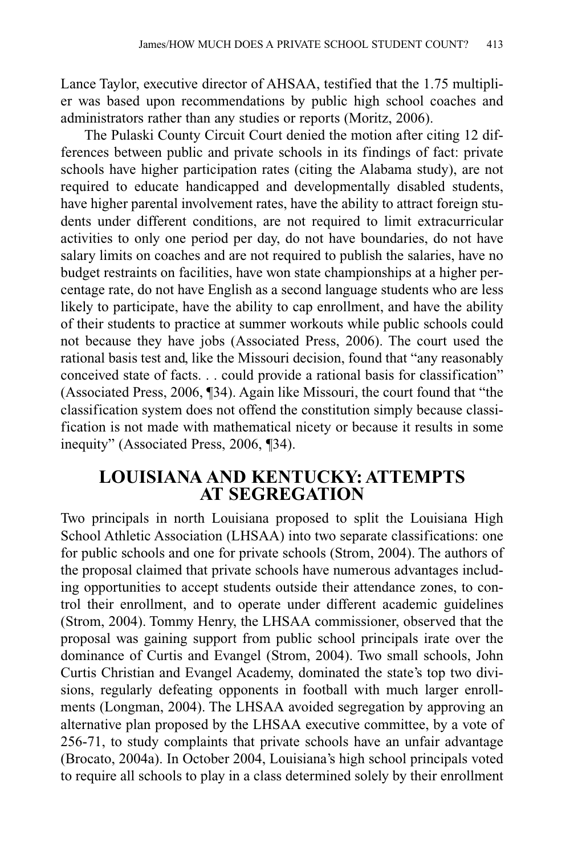Lance Taylor, executive director of AHSAA, testified that the 1.75 multiplier was based upon recommendations by public high school coaches and administrators rather than any studies or reports (Moritz, 2006).

The Pulaski County Circuit Court denied the motion after citing 12 differences between public and private schools in its findings of fact: private schools have higher participation rates (citing the Alabama study), are not required to educate handicapped and developmentally disabled students, have higher parental involvement rates, have the ability to attract foreign students under different conditions, are not required to limit extracurricular activities to only one period per day, do not have boundaries, do not have salary limits on coaches and are not required to publish the salaries, have no budget restraints on facilities, have won state championships at a higher percentage rate, do not have English as a second language students who are less likely to participate, have the ability to cap enrollment, and have the ability of their students to practice at summer workouts while public schools could not because they have jobs (Associated Press, 2006). The court used the rational basis test and, like the Missouri decision, found that "any reasonably conceived state of facts. . . could provide a rational basis for classification" (Associated Press, 2006, ¶34). Again like Missouri, the court found that "the classification system does not offend the constitution simply because classification is not made with mathematical nicety or because it results in some inequity" (Associated Press, 2006, ¶34).

#### **LOUISIANA AND KENTUCKY: ATTEMPTS AT SEGREGATION**

Two principals in north Louisiana proposed to split the Louisiana High School Athletic Association (LHSAA) into two separate classifications: one for public schools and one for private schools (Strom, 2004). The authors of the proposal claimed that private schools have numerous advantages including opportunities to accept students outside their attendance zones, to control their enrollment, and to operate under different academic guidelines (Strom, 2004). Tommy Henry, the LHSAA commissioner, observed that the proposal was gaining support from public school principals irate over the dominance of Curtis and Evangel (Strom, 2004). Two small schools, John Curtis Christian and Evangel Academy, dominated the state's top two divisions, regularly defeating opponents in football with much larger enrollments (Longman, 2004). The LHSAA avoided segregation by approving an alternative plan proposed by the LHSAA executive committee, by a vote of 256-71, to study complaints that private schools have an unfair advantage (Brocato, 2004a). In October 2004, Louisiana's high school principals voted to require all schools to play in a class determined solely by their enrollment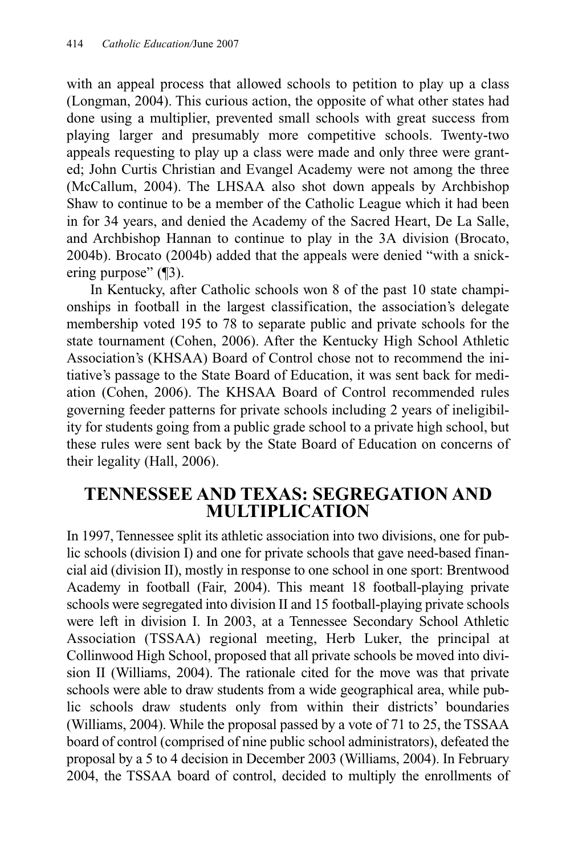with an appeal process that allowed schools to petition to play up a class (Longman, 2004). This curious action, the opposite of what other states had done using a multiplier, prevented small schools with great success from playing larger and presumably more competitive schools. Twenty-two appeals requesting to play up a class were made and only three were granted; John Curtis Christian and Evangel Academy were not among the three (McCallum, 2004). The LHSAA also shot down appeals by Archbishop Shaw to continue to be a member of the Catholic League which it had been in for 34 years, and denied the Academy of the Sacred Heart, De La Salle, and Archbishop Hannan to continue to play in the 3A division (Brocato, 2004b). Brocato (2004b) added that the appeals were denied "with a snickering purpose" (¶3).

In Kentucky, after Catholic schools won 8 of the past 10 state championships in football in the largest classification, the association's delegate membership voted 195 to 78 to separate public and private schools for the state tournament (Cohen, 2006). After the Kentucky High School Athletic Association's (KHSAA) Board of Control chose not to recommend the initiative's passage to the State Board of Education, it was sent back for mediation (Cohen, 2006). The KHSAA Board of Control recommended rules governing feeder patterns for private schools including 2 years of ineligibility for students going from a public grade school to a private high school, but these rules were sent back by the State Board of Education on concerns of their legality (Hall, 2006).

#### **TENNESSEE AND TEXAS: SEGREGATION AND MULTIPLICATION**

In 1997, Tennessee split its athletic association into two divisions, one for public schools (division I) and one for private schools that gave need-based financial aid (division II), mostly in response to one school in one sport: Brentwood Academy in football (Fair, 2004). This meant 18 football-playing private schools were segregated into division II and 15 football-playing private schools were left in division I. In 2003, at a Tennessee Secondary School Athletic Association (TSSAA) regional meeting, Herb Luker, the principal at Collinwood High School, proposed that all private schools be moved into division II (Williams, 2004). The rationale cited for the move was that private schools were able to draw students from a wide geographical area, while public schools draw students only from within their districts' boundaries (Williams, 2004). While the proposal passed by a vote of 71 to 25, the TSSAA board of control (comprised of nine public school administrators), defeated the proposal by a 5 to 4 decision in December 2003 (Williams, 2004). In February 2004, the TSSAA board of control, decided to multiply the enrollments of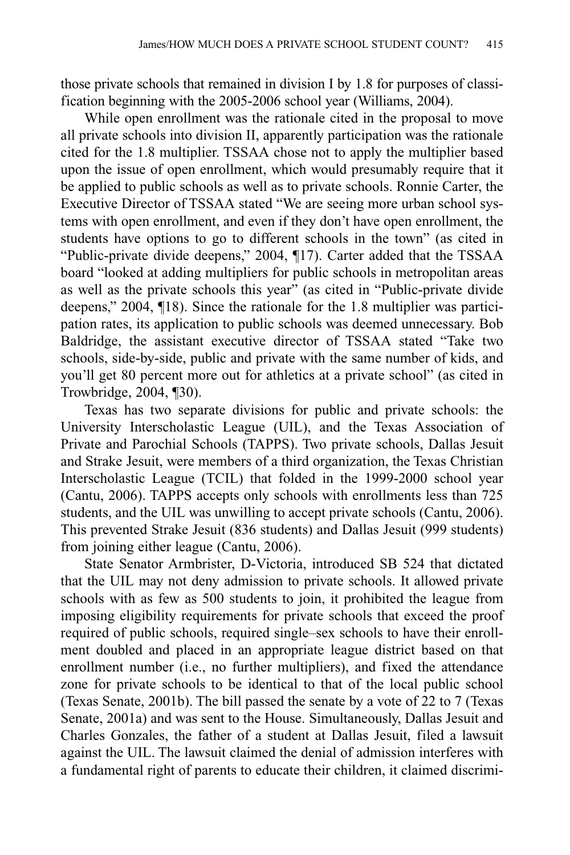those private schools that remained in division I by 1.8 for purposes of classification beginning with the 2005-2006 school year (Williams, 2004).

While open enrollment was the rationale cited in the proposal to move all private schools into division II, apparently participation was the rationale cited for the 1.8 multiplier. TSSAA chose not to apply the multiplier based upon the issue of open enrollment, which would presumably require that it be applied to public schools as well as to private schools. Ronnie Carter, the Executive Director of TSSAA stated "We are seeing more urban school systems with open enrollment, and even if they don't have open enrollment, the students have options to go to different schools in the town" (as cited in "Public-private divide deepens," 2004, ¶17). Carter added that the TSSAA board "looked at adding multipliers for public schools in metropolitan areas as well as the private schools this year" (as cited in "Public-private divide deepens," 2004, ¶18). Since the rationale for the 1.8 multiplier was participation rates, its application to public schools was deemed unnecessary. Bob Baldridge, the assistant executive director of TSSAA stated "Take two schools, side-by-side, public and private with the same number of kids, and you'll get 80 percent more out for athletics at a private school" (as cited in Trowbridge, 2004, ¶30).

Texas has two separate divisions for public and private schools: the University Interscholastic League (UIL), and the Texas Association of Private and Parochial Schools (TAPPS). Two private schools, Dallas Jesuit and Strake Jesuit, were members of a third organization, the Texas Christian Interscholastic League (TCIL) that folded in the 1999-2000 school year (Cantu, 2006). TAPPS accepts only schools with enrollments less than 725 students, and the UIL was unwilling to accept private schools (Cantu, 2006). This prevented Strake Jesuit (836 students) and Dallas Jesuit (999 students) from joining either league (Cantu, 2006).

State Senator Armbrister, D-Victoria, introduced SB 524 that dictated that the UIL may not deny admission to private schools. It allowed private schools with as few as 500 students to join, it prohibited the league from imposing eligibility requirements for private schools that exceed the proof required of public schools, required single–sex schools to have their enrollment doubled and placed in an appropriate league district based on that enrollment number (i.e., no further multipliers), and fixed the attendance zone for private schools to be identical to that of the local public school (Texas Senate, 2001b). The bill passed the senate by a vote of 22 to 7 (Texas Senate, 2001a) and was sent to the House. Simultaneously, Dallas Jesuit and Charles Gonzales, the father of a student at Dallas Jesuit, filed a lawsuit against the UIL. The lawsuit claimed the denial of admission interferes with a fundamental right of parents to educate their children, it claimed discrimi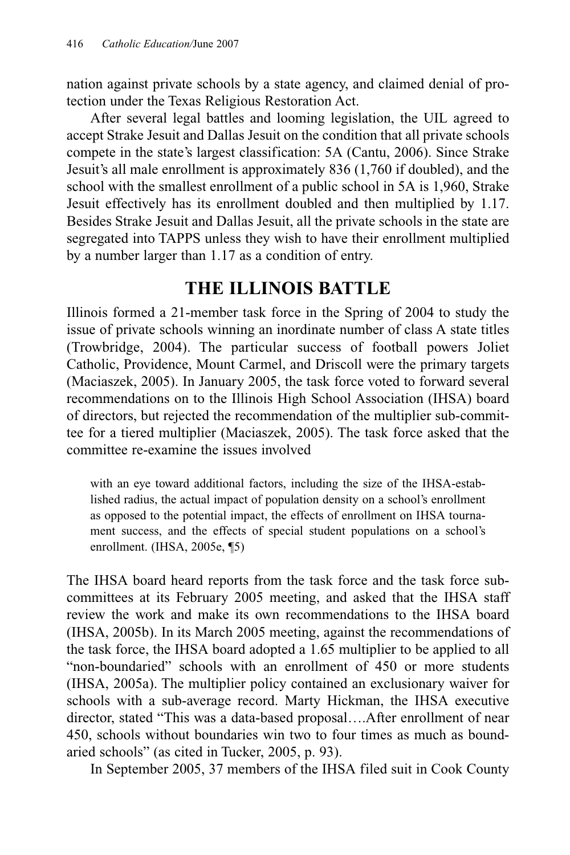nation against private schools by a state agency, and claimed denial of protection under the Texas Religious Restoration Act.

After several legal battles and looming legislation, the UIL agreed to accept Strake Jesuit and Dallas Jesuit on the condition that all private schools compete in the state's largest classification: 5A (Cantu, 2006). Since Strake Jesuit's all male enrollment is approximately 836 (1,760 if doubled), and the school with the smallest enrollment of a public school in 5A is 1,960, Strake Jesuit effectively has its enrollment doubled and then multiplied by 1.17. Besides Strake Jesuit and Dallas Jesuit, all the private schools in the state are segregated into TAPPS unless they wish to have their enrollment multiplied by a number larger than 1.17 as a condition of entry.

#### **THE ILLINOIS BATTLE**

Illinois formed a 21-member task force in the Spring of 2004 to study the issue of private schools winning an inordinate number of class A state titles (Trowbridge, 2004). The particular success of football powers Joliet Catholic, Providence, Mount Carmel, and Driscoll were the primary targets (Maciaszek, 2005). In January 2005, the task force voted to forward several recommendations on to the Illinois High School Association (IHSA) board of directors, but rejected the recommendation of the multiplier sub-committee for a tiered multiplier (Maciaszek, 2005). The task force asked that the committee re-examine the issues involved

with an eye toward additional factors, including the size of the IHSA-established radius, the actual impact of population density on a school's enrollment as opposed to the potential impact, the effects of enrollment on IHSA tournament success, and the effects of special student populations on a school's enrollment. (IHSA, 2005e, ¶5)

The IHSA board heard reports from the task force and the task force subcommittees at its February 2005 meeting, and asked that the IHSA staff review the work and make its own recommendations to the IHSA board (IHSA, 2005b). In its March 2005 meeting, against the recommendations of the task force, the IHSA board adopted a 1.65 multiplier to be applied to all "non-boundaried" schools with an enrollment of 450 or more students (IHSA, 2005a). The multiplier policy contained an exclusionary waiver for schools with a sub-average record. Marty Hickman, the IHSA executive director, stated "This was a data-based proposal….After enrollment of near 450, schools without boundaries win two to four times as much as boundaried schools" (as cited in Tucker, 2005, p. 93).

In September 2005, 37 members of the IHSA filed suit in Cook County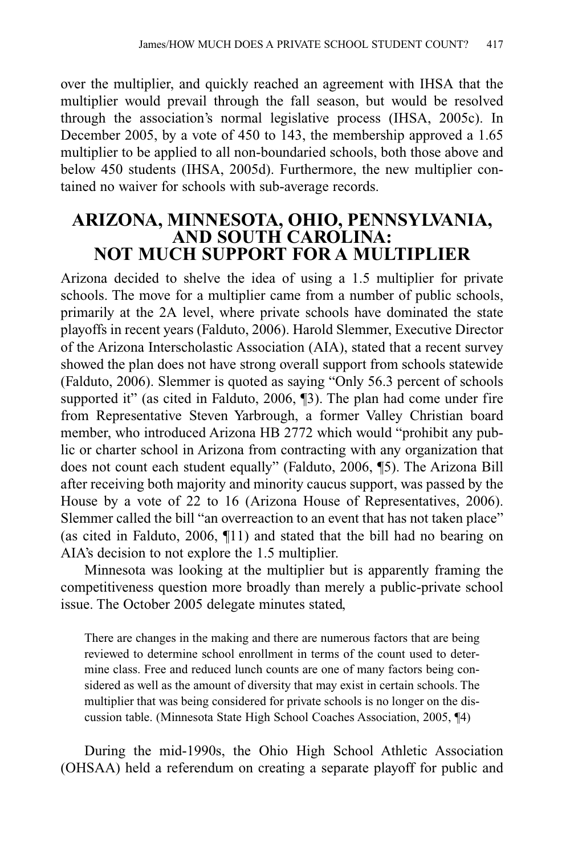over the multiplier, and quickly reached an agreement with IHSA that the multiplier would prevail through the fall season, but would be resolved through the association's normal legislative process (IHSA, 2005c). In December 2005, by a vote of 450 to 143, the membership approved a 1.65 multiplier to be applied to all non-boundaried schools, both those above and below 450 students (IHSA, 2005d). Furthermore, the new multiplier contained no waiver for schools with sub-average records.

#### **ARIZONA, MINNESOTA, OHIO, PENNSYLVANIA, AND SOUTH CAROLINA: NOT MUCH SUPPORT FOR A MULTIPLIER**

Arizona decided to shelve the idea of using a 1.5 multiplier for private schools. The move for a multiplier came from a number of public schools, primarily at the 2A level, where private schools have dominated the state playoffs in recent years (Falduto, 2006). Harold Slemmer, Executive Director of the Arizona Interscholastic Association (AIA), stated that a recent survey showed the plan does not have strong overall support from schools statewide (Falduto, 2006). Slemmer is quoted as saying "Only 56.3 percent of schools supported it" (as cited in Falduto, 2006,  $\mathbb{I}3$ ). The plan had come under fire from Representative Steven Yarbrough, a former Valley Christian board member, who introduced Arizona HB 2772 which would "prohibit any public or charter school in Arizona from contracting with any organization that does not count each student equally" (Falduto, 2006, ¶5). The Arizona Bill after receiving both majority and minority caucus support, was passed by the House by a vote of 22 to 16 (Arizona House of Representatives, 2006). Slemmer called the bill "an overreaction to an event that has not taken place" (as cited in Falduto, 2006, ¶11) and stated that the bill had no bearing on AIA's decision to not explore the 1.5 multiplier.

Minnesota was looking at the multiplier but is apparently framing the competitiveness question more broadly than merely a public-private school issue. The October 2005 delegate minutes stated,

There are changes in the making and there are numerous factors that are being reviewed to determine school enrollment in terms of the count used to determine class. Free and reduced lunch counts are one of many factors being considered as well as the amount of diversity that may exist in certain schools. The multiplier that was being considered for private schools is no longer on the discussion table. (Minnesota State High School Coaches Association, 2005, ¶4)

During the mid-1990s, the Ohio High School Athletic Association (OHSAA) held a referendum on creating a separate playoff for public and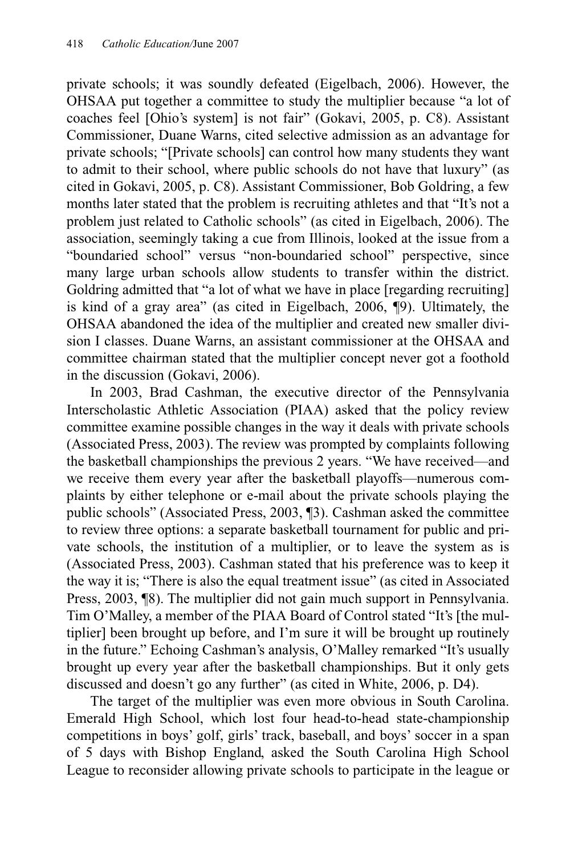private schools; it was soundly defeated (Eigelbach, 2006). However, the OHSAA put together a committee to study the multiplier because "a lot of coaches feel [Ohio's system] is not fair" (Gokavi, 2005, p. C8). Assistant Commissioner, Duane Warns, cited selective admission as an advantage for private schools; "[Private schools] can control how many students they want to admit to their school, where public schools do not have that luxury" (as cited in Gokavi, 2005, p. C8). Assistant Commissioner, Bob Goldring, a few months later stated that the problem is recruiting athletes and that "It's not a problem just related to Catholic schools" (as cited in Eigelbach, 2006). The association, seemingly taking a cue from Illinois, looked at the issue from a "boundaried school" versus "non-boundaried school" perspective, since many large urban schools allow students to transfer within the district. Goldring admitted that "a lot of what we have in place [regarding recruiting] is kind of a gray area" (as cited in Eigelbach, 2006, ¶9). Ultimately, the OHSAA abandoned the idea of the multiplier and created new smaller division I classes. Duane Warns, an assistant commissioner at the OHSAA and committee chairman stated that the multiplier concept never got a foothold in the discussion (Gokavi, 2006).

In 2003, Brad Cashman, the executive director of the Pennsylvania Interscholastic Athletic Association (PIAA) asked that the policy review committee examine possible changes in the way it deals with private schools (Associated Press, 2003). The review was prompted by complaints following the basketball championships the previous 2 years. "We have received—and we receive them every year after the basketball playoffs—numerous complaints by either telephone or e-mail about the private schools playing the public schools" (Associated Press, 2003, ¶3). Cashman asked the committee to review three options: a separate basketball tournament for public and private schools, the institution of a multiplier, or to leave the system as is (Associated Press, 2003). Cashman stated that his preference was to keep it the way it is; "There is also the equal treatment issue" (as cited in Associated Press, 2003, ¶8). The multiplier did not gain much support in Pennsylvania. Tim O'Malley, a member of the PIAA Board of Control stated "It's [the multiplier] been brought up before, and I'm sure it will be brought up routinely in the future." Echoing Cashman's analysis, O'Malley remarked "It's usually brought up every year after the basketball championships. But it only gets discussed and doesn't go any further" (as cited in White, 2006, p. D4).

The target of the multiplier was even more obvious in South Carolina. Emerald High School, which lost four head-to-head state-championship competitions in boys' golf, girls' track, baseball, and boys' soccer in a span of 5 days with Bishop England, asked the South Carolina High School League to reconsider allowing private schools to participate in the league or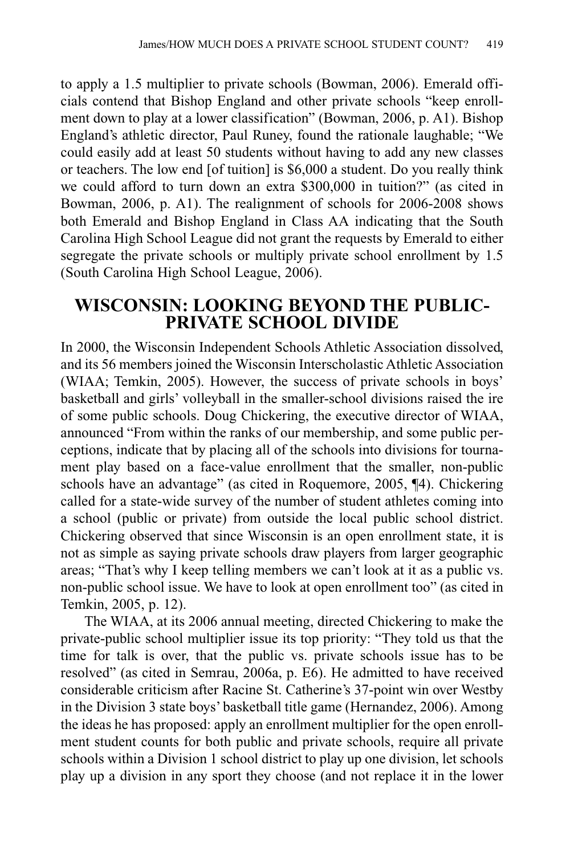to apply a 1.5 multiplier to private schools (Bowman, 2006). Emerald officials contend that Bishop England and other private schools "keep enrollment down to play at a lower classification" (Bowman, 2006, p. A1). Bishop England's athletic director, Paul Runey, found the rationale laughable; "We could easily add at least 50 students without having to add any new classes or teachers. The low end [of tuition] is \$6,000 a student. Do you really think we could afford to turn down an extra \$300,000 in tuition?" (as cited in Bowman, 2006, p. A1). The realignment of schools for 2006-2008 shows both Emerald and Bishop England in Class AA indicating that the South Carolina High School League did not grant the requests by Emerald to either segregate the private schools or multiply private school enrollment by 1.5 (South Carolina High School League, 2006).

#### **WISCONSIN: LOOKING BEYOND THE PUBLIC-PRIVATE SCHOOL DIVIDE**

In 2000, the Wisconsin Independent Schools Athletic Association dissolved, and its 56 members joined the Wisconsin Interscholastic Athletic Association (WIAA; Temkin, 2005). However, the success of private schools in boys' basketball and girls' volleyball in the smaller-school divisions raised the ire of some public schools. Doug Chickering, the executive director of WIAA, announced "From within the ranks of our membership, and some public perceptions, indicate that by placing all of the schools into divisions for tournament play based on a face-value enrollment that the smaller, non-public schools have an advantage" (as cited in Roquemore, 2005, ¶4). Chickering called for a state-wide survey of the number of student athletes coming into a school (public or private) from outside the local public school district. Chickering observed that since Wisconsin is an open enrollment state, it is not as simple as saying private schools draw players from larger geographic areas; "That's why I keep telling members we can't look at it as a public vs. non-public school issue. We have to look at open enrollment too" (as cited in Temkin, 2005, p. 12).

The WIAA, at its 2006 annual meeting, directed Chickering to make the private-public school multiplier issue its top priority: "They told us that the time for talk is over, that the public vs. private schools issue has to be resolved" (as cited in Semrau, 2006a, p. E6). He admitted to have received considerable criticism after Racine St. Catherine's 37-point win over Westby in the Division 3 state boys' basketball title game (Hernandez, 2006). Among the ideas he has proposed: apply an enrollment multiplier for the open enrollment student counts for both public and private schools, require all private schools within a Division 1 school district to play up one division, let schools play up a division in any sport they choose (and not replace it in the lower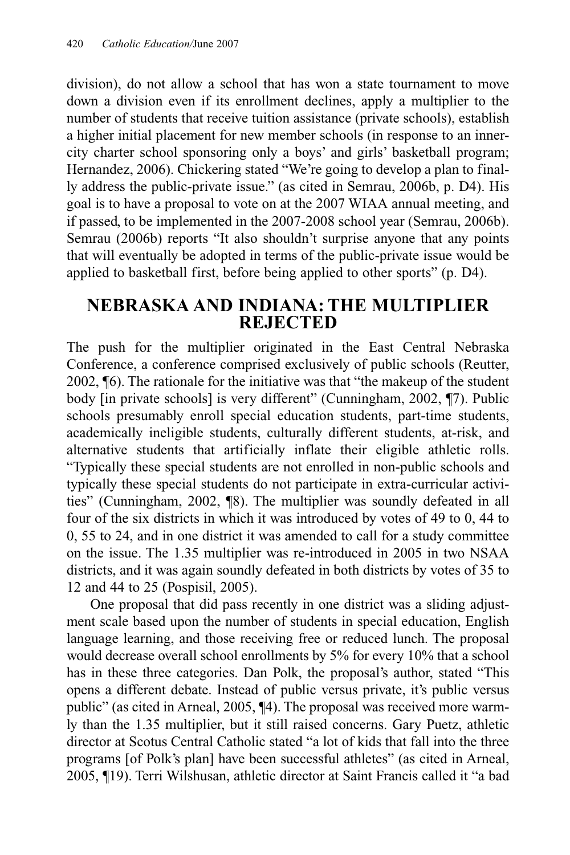division), do not allow a school that has won a state tournament to move down a division even if its enrollment declines, apply a multiplier to the number of students that receive tuition assistance (private schools), establish a higher initial placement for new member schools (in response to an innercity charter school sponsoring only a boys' and girls' basketball program; Hernandez, 2006). Chickering stated "We're going to develop a plan to finally address the public-private issue." (as cited in Semrau, 2006b, p. D4). His goal is to have a proposal to vote on at the 2007 WIAA annual meeting, and if passed, to be implemented in the 2007-2008 school year (Semrau, 2006b). Semrau (2006b) reports "It also shouldn't surprise anyone that any points that will eventually be adopted in terms of the public-private issue would be applied to basketball first, before being applied to other sports" (p. D4).

#### **NEBRASKA AND INDIANA: THE MULTIPLIER REJECTED**

The push for the multiplier originated in the East Central Nebraska Conference, a conference comprised exclusively of public schools (Reutter, 2002, ¶6). The rationale for the initiative was that "the makeup of the student body [in private schools] is very different" (Cunningham, 2002, ¶7). Public schools presumably enroll special education students, part-time students, academically ineligible students, culturally different students, at-risk, and alternative students that artificially inflate their eligible athletic rolls. "Typically these special students are not enrolled in non-public schools and typically these special students do not participate in extra-curricular activities" (Cunningham, 2002, ¶8). The multiplier was soundly defeated in all four of the six districts in which it was introduced by votes of 49 to 0, 44 to 0, 55 to 24, and in one district it was amended to call for a study committee on the issue. The 1.35 multiplier was re-introduced in 2005 in two NSAA districts, and it was again soundly defeated in both districts by votes of 35 to 12 and 44 to 25 (Pospisil, 2005).

One proposal that did pass recently in one district was a sliding adjustment scale based upon the number of students in special education, English language learning, and those receiving free or reduced lunch. The proposal would decrease overall school enrollments by 5% for every 10% that a school has in these three categories. Dan Polk, the proposal's author, stated "This opens a different debate. Instead of public versus private, it's public versus public" (as cited in Arneal, 2005, ¶4). The proposal was received more warmly than the 1.35 multiplier, but it still raised concerns. Gary Puetz, athletic director at Scotus Central Catholic stated "a lot of kids that fall into the three programs [of Polk's plan] have been successful athletes" (as cited in Arneal, 2005, ¶19). Terri Wilshusan, athletic director at Saint Francis called it "a bad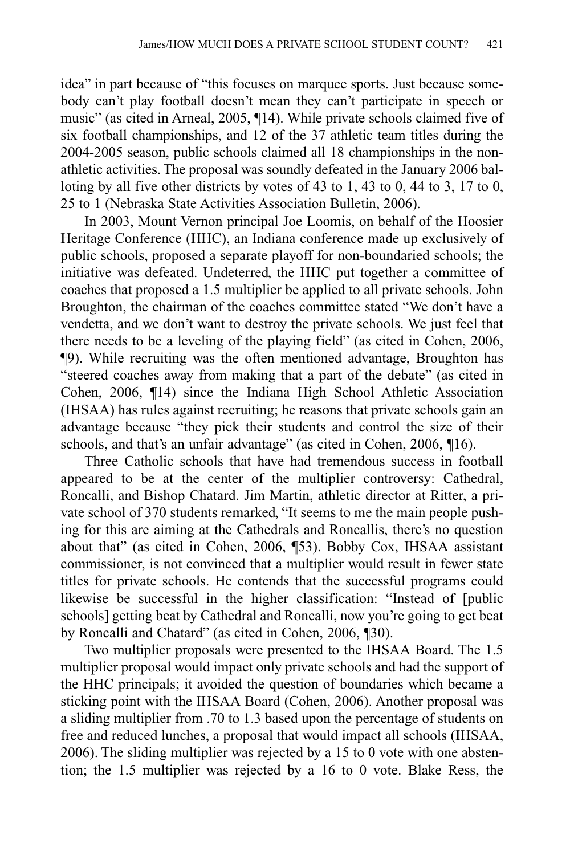idea" in part because of "this focuses on marquee sports. Just because somebody can't play football doesn't mean they can't participate in speech or music" (as cited in Arneal, 2005, ¶14). While private schools claimed five of six football championships, and 12 of the 37 athletic team titles during the 2004-2005 season, public schools claimed all 18 championships in the nonathletic activities. The proposal was soundly defeated in the January 2006 balloting by all five other districts by votes of 43 to 1, 43 to 0, 44 to 3, 17 to 0, 25 to 1 (Nebraska State Activities Association Bulletin, 2006).

In 2003, Mount Vernon principal Joe Loomis, on behalf of the Hoosier Heritage Conference (HHC), an Indiana conference made up exclusively of public schools, proposed a separate playoff for non-boundaried schools; the initiative was defeated. Undeterred, the HHC put together a committee of coaches that proposed a 1.5 multiplier be applied to all private schools. John Broughton, the chairman of the coaches committee stated "We don't have a vendetta, and we don't want to destroy the private schools. We just feel that there needs to be a leveling of the playing field" (as cited in Cohen, 2006, ¶9). While recruiting was the often mentioned advantage, Broughton has "steered coaches away from making that a part of the debate" (as cited in Cohen, 2006, ¶14) since the Indiana High School Athletic Association (IHSAA) has rules against recruiting; he reasons that private schools gain an advantage because "they pick their students and control the size of their schools, and that's an unfair advantage" (as cited in Cohen, 2006, ¶16).

Three Catholic schools that have had tremendous success in football appeared to be at the center of the multiplier controversy: Cathedral, Roncalli, and Bishop Chatard. Jim Martin, athletic director at Ritter, a private school of 370 students remarked, "It seems to me the main people pushing for this are aiming at the Cathedrals and Roncallis, there's no question about that" (as cited in Cohen, 2006, ¶53). Bobby Cox, IHSAA assistant commissioner, is not convinced that a multiplier would result in fewer state titles for private schools. He contends that the successful programs could likewise be successful in the higher classification: "Instead of [public schools] getting beat by Cathedral and Roncalli, now you're going to get beat by Roncalli and Chatard" (as cited in Cohen, 2006, ¶30).

Two multiplier proposals were presented to the IHSAA Board. The 1.5 multiplier proposal would impact only private schools and had the support of the HHC principals; it avoided the question of boundaries which became a sticking point with the IHSAA Board (Cohen, 2006). Another proposal was a sliding multiplier from .70 to 1.3 based upon the percentage of students on free and reduced lunches, a proposal that would impact all schools (IHSAA, 2006). The sliding multiplier was rejected by a 15 to 0 vote with one abstention; the 1.5 multiplier was rejected by a 16 to 0 vote. Blake Ress, the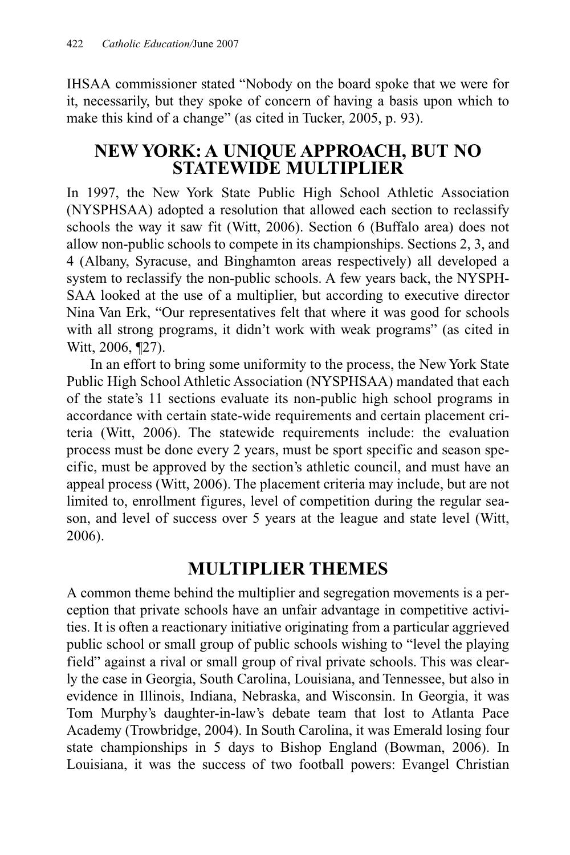IHSAA commissioner stated "Nobody on the board spoke that we were for it, necessarily, but they spoke of concern of having a basis upon which to make this kind of a change" (as cited in Tucker, 2005, p. 93).

#### **NEW YORK: A UNIQUE APPROACH, BUT NO STATEWIDE MULTIPLIER**

In 1997, the New York State Public High School Athletic Association (NYSPHSAA) adopted a resolution that allowed each section to reclassify schools the way it saw fit (Witt, 2006). Section 6 (Buffalo area) does not allow non-public schools to compete in its championships. Sections 2, 3, and 4 (Albany, Syracuse, and Binghamton areas respectively) all developed a system to reclassify the non-public schools. A few years back, the NYSPH-SAA looked at the use of a multiplier, but according to executive director Nina Van Erk, "Our representatives felt that where it was good for schools with all strong programs, it didn't work with weak programs" (as cited in Witt, 2006, ¶27).

In an effort to bring some uniformity to the process, the New York State Public High School Athletic Association (NYSPHSAA) mandated that each of the state's 11 sections evaluate its non-public high school programs in accordance with certain state-wide requirements and certain placement criteria (Witt, 2006). The statewide requirements include: the evaluation process must be done every 2 years, must be sport specific and season specific, must be approved by the section's athletic council, and must have an appeal process (Witt, 2006). The placement criteria may include, but are not limited to, enrollment figures, level of competition during the regular season, and level of success over 5 years at the league and state level (Witt, 2006).

### **MULTIPLIER THEMES**

A common theme behind the multiplier and segregation movements is a perception that private schools have an unfair advantage in competitive activities. It is often a reactionary initiative originating from a particular aggrieved public school or small group of public schools wishing to "level the playing field" against a rival or small group of rival private schools. This was clearly the case in Georgia, South Carolina, Louisiana, and Tennessee, but also in evidence in Illinois, Indiana, Nebraska, and Wisconsin. In Georgia, it was Tom Murphy's daughter-in-law's debate team that lost to Atlanta Pace Academy (Trowbridge, 2004). In South Carolina, it was Emerald losing four state championships in 5 days to Bishop England (Bowman, 2006). In Louisiana, it was the success of two football powers: Evangel Christian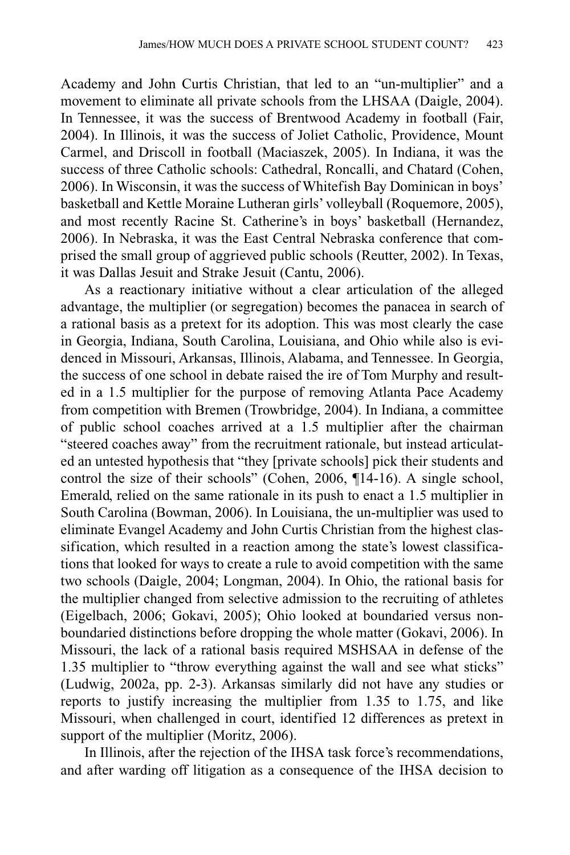Academy and John Curtis Christian, that led to an "un-multiplier" and a movement to eliminate all private schools from the LHSAA (Daigle, 2004). In Tennessee, it was the success of Brentwood Academy in football (Fair, 2004). In Illinois, it was the success of Joliet Catholic, Providence, Mount Carmel, and Driscoll in football (Maciaszek, 2005). In Indiana, it was the success of three Catholic schools: Cathedral, Roncalli, and Chatard (Cohen, 2006). In Wisconsin, it was the success of Whitefish Bay Dominican in boys' basketball and Kettle Moraine Lutheran girls' volleyball (Roquemore, 2005), and most recently Racine St. Catherine's in boys' basketball (Hernandez, 2006). In Nebraska, it was the East Central Nebraska conference that comprised the small group of aggrieved public schools (Reutter, 2002). In Texas, it was Dallas Jesuit and Strake Jesuit (Cantu, 2006).

As a reactionary initiative without a clear articulation of the alleged advantage, the multiplier (or segregation) becomes the panacea in search of a rational basis as a pretext for its adoption. This was most clearly the case in Georgia, Indiana, South Carolina, Louisiana, and Ohio while also is evidenced in Missouri, Arkansas, Illinois, Alabama, and Tennessee. In Georgia, the success of one school in debate raised the ire of Tom Murphy and resulted in a 1.5 multiplier for the purpose of removing Atlanta Pace Academy from competition with Bremen (Trowbridge, 2004). In Indiana, a committee of public school coaches arrived at a 1.5 multiplier after the chairman "steered coaches away" from the recruitment rationale, but instead articulated an untested hypothesis that "they [private schools] pick their students and control the size of their schools" (Cohen, 2006, ¶14-16). A single school, Emerald, relied on the same rationale in its push to enact a 1.5 multiplier in South Carolina (Bowman, 2006). In Louisiana, the un-multiplier was used to eliminate Evangel Academy and John Curtis Christian from the highest classification, which resulted in a reaction among the state's lowest classifications that looked for ways to create a rule to avoid competition with the same two schools (Daigle, 2004; Longman, 2004). In Ohio, the rational basis for the multiplier changed from selective admission to the recruiting of athletes (Eigelbach, 2006; Gokavi, 2005); Ohio looked at boundaried versus nonboundaried distinctions before dropping the whole matter (Gokavi, 2006). In Missouri, the lack of a rational basis required MSHSAA in defense of the 1.35 multiplier to "throw everything against the wall and see what sticks" (Ludwig, 2002a, pp. 2-3). Arkansas similarly did not have any studies or reports to justify increasing the multiplier from 1.35 to 1.75, and like Missouri, when challenged in court, identified 12 differences as pretext in support of the multiplier (Moritz, 2006).

In Illinois, after the rejection of the IHSA task force's recommendations, and after warding off litigation as a consequence of the IHSA decision to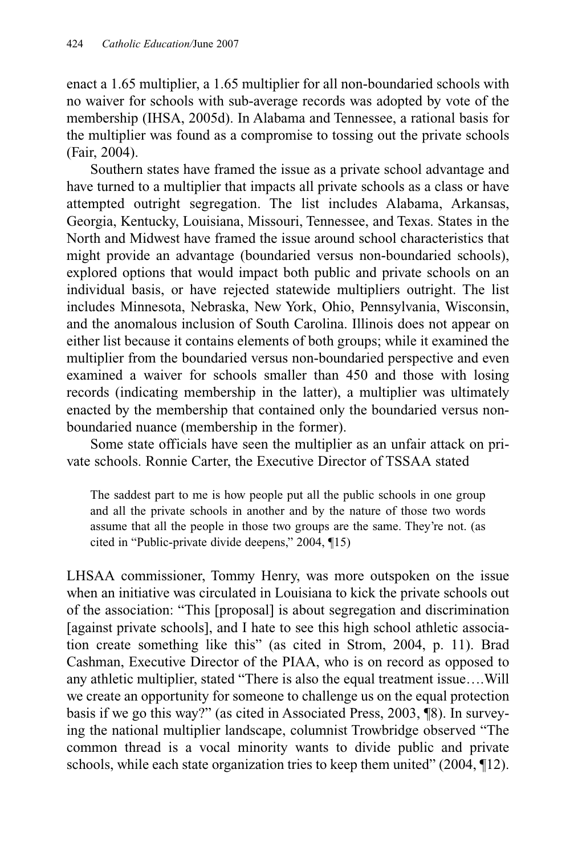enact a 1.65 multiplier, a 1.65 multiplier for all non-boundaried schools with no waiver for schools with sub-average records was adopted by vote of the membership (IHSA, 2005d). In Alabama and Tennessee, a rational basis for the multiplier was found as a compromise to tossing out the private schools (Fair, 2004).

Southern states have framed the issue as a private school advantage and have turned to a multiplier that impacts all private schools as a class or have attempted outright segregation. The list includes Alabama, Arkansas, Georgia, Kentucky, Louisiana, Missouri, Tennessee, and Texas. States in the North and Midwest have framed the issue around school characteristics that might provide an advantage (boundaried versus non-boundaried schools), explored options that would impact both public and private schools on an individual basis, or have rejected statewide multipliers outright. The list includes Minnesota, Nebraska, New York, Ohio, Pennsylvania, Wisconsin, and the anomalous inclusion of South Carolina. Illinois does not appear on either list because it contains elements of both groups; while it examined the multiplier from the boundaried versus non-boundaried perspective and even examined a waiver for schools smaller than 450 and those with losing records (indicating membership in the latter), a multiplier was ultimately enacted by the membership that contained only the boundaried versus nonboundaried nuance (membership in the former).

Some state officials have seen the multiplier as an unfair attack on private schools. Ronnie Carter, the Executive Director of TSSAA stated

The saddest part to me is how people put all the public schools in one group and all the private schools in another and by the nature of those two words assume that all the people in those two groups are the same. They're not. (as cited in "Public-private divide deepens," 2004, ¶15)

LHSAA commissioner, Tommy Henry, was more outspoken on the issue when an initiative was circulated in Louisiana to kick the private schools out of the association: "This [proposal] is about segregation and discrimination [against private schools], and I hate to see this high school athletic association create something like this" (as cited in Strom, 2004, p. 11). Brad Cashman, Executive Director of the PIAA, who is on record as opposed to any athletic multiplier, stated "There is also the equal treatment issue….Will we create an opportunity for someone to challenge us on the equal protection basis if we go this way?" (as cited in Associated Press, 2003, ¶8). In surveying the national multiplier landscape, columnist Trowbridge observed "The common thread is a vocal minority wants to divide public and private schools, while each state organization tries to keep them united" (2004, ¶12).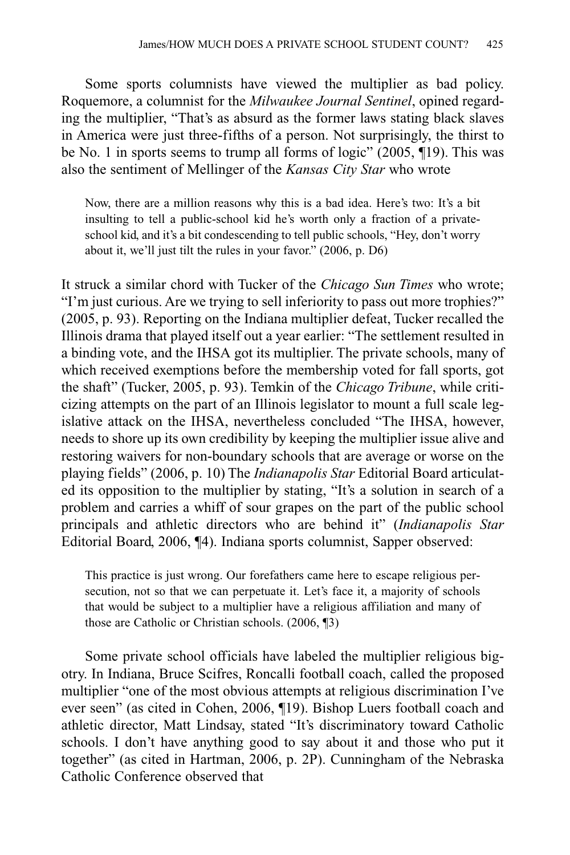Some sports columnists have viewed the multiplier as bad policy. Roquemore, a columnist for the *Milwaukee Journal Sentinel*, opined regarding the multiplier, "That's as absurd as the former laws stating black slaves in America were just three-fifths of a person. Not surprisingly, the thirst to be No. 1 in sports seems to trump all forms of logic" (2005, ¶19). This was also the sentiment of Mellinger of the *Kansas City Star* who wrote

Now, there are a million reasons why this is a bad idea. Here's two: It's a bit insulting to tell a public-school kid he's worth only a fraction of a privateschool kid, and it's a bit condescending to tell public schools, "Hey, don't worry about it, we'll just tilt the rules in your favor." (2006, p. D6)

It struck a similar chord with Tucker of the *Chicago Sun Times* who wrote; "I'm just curious. Are we trying to sell inferiority to pass out more trophies?" (2005, p. 93). Reporting on the Indiana multiplier defeat, Tucker recalled the Illinois drama that played itself out a year earlier: "The settlement resulted in a binding vote, and the IHSA got its multiplier. The private schools, many of which received exemptions before the membership voted for fall sports, got the shaft" (Tucker, 2005, p. 93). Temkin of the *Chicago Tribune*, while criticizing attempts on the part of an Illinois legislator to mount a full scale legislative attack on the IHSA, nevertheless concluded "The IHSA, however, needs to shore up its own credibility by keeping the multiplier issue alive and restoring waivers for non-boundary schools that are average or worse on the playing fields" (2006, p. 10) The *Indianapolis Star* Editorial Board articulated its opposition to the multiplier by stating, "It's a solution in search of a problem and carries a whiff of sour grapes on the part of the public school principals and athletic directors who are behind it" (*Indianapolis Star* Editorial Board, 2006, ¶4). Indiana sports columnist, Sapper observed:

This practice is just wrong. Our forefathers came here to escape religious persecution, not so that we can perpetuate it. Let's face it, a majority of schools that would be subject to a multiplier have a religious affiliation and many of those are Catholic or Christian schools. (2006, ¶3)

Some private school officials have labeled the multiplier religious bigotry. In Indiana, Bruce Scifres, Roncalli football coach, called the proposed multiplier "one of the most obvious attempts at religious discrimination I've ever seen" (as cited in Cohen, 2006, ¶19). Bishop Luers football coach and athletic director, Matt Lindsay, stated "It's discriminatory toward Catholic schools. I don't have anything good to say about it and those who put it together" (as cited in Hartman, 2006, p. 2P). Cunningham of the Nebraska Catholic Conference observed that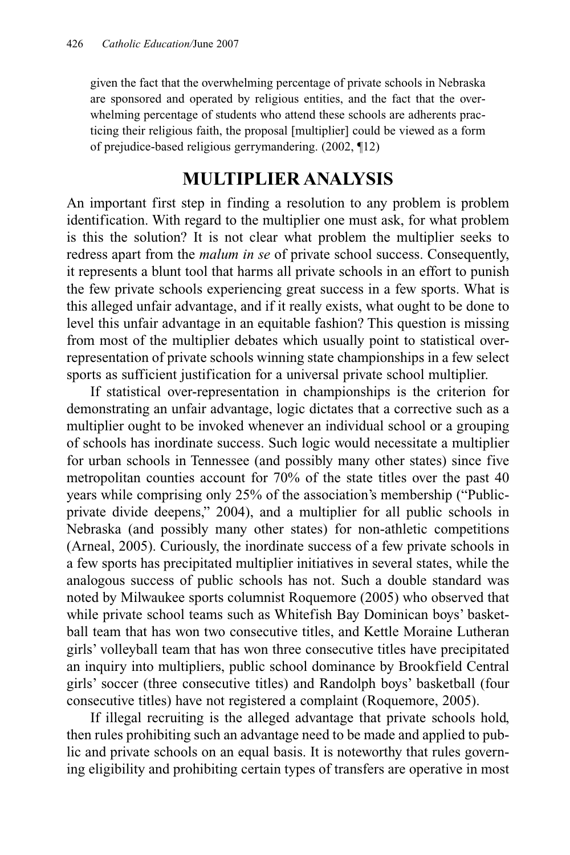given the fact that the overwhelming percentage of private schools in Nebraska are sponsored and operated by religious entities, and the fact that the overwhelming percentage of students who attend these schools are adherents practicing their religious faith, the proposal [multiplier] could be viewed as a form of prejudice-based religious gerrymandering. (2002, ¶12)

#### **MULTIPLIER ANALYSIS**

An important first step in finding a resolution to any problem is problem identification. With regard to the multiplier one must ask, for what problem is this the solution? It is not clear what problem the multiplier seeks to redress apart from the *malum in se* of private school success. Consequently, it represents a blunt tool that harms all private schools in an effort to punish the few private schools experiencing great success in a few sports. What is this alleged unfair advantage, and if it really exists, what ought to be done to level this unfair advantage in an equitable fashion? This question is missing from most of the multiplier debates which usually point to statistical overrepresentation of private schools winning state championships in a few select sports as sufficient justification for a universal private school multiplier.

If statistical over-representation in championships is the criterion for demonstrating an unfair advantage, logic dictates that a corrective such as a multiplier ought to be invoked whenever an individual school or a grouping of schools has inordinate success. Such logic would necessitate a multiplier for urban schools in Tennessee (and possibly many other states) since five metropolitan counties account for 70% of the state titles over the past 40 years while comprising only 25% of the association's membership ("Publicprivate divide deepens," 2004), and a multiplier for all public schools in Nebraska (and possibly many other states) for non-athletic competitions (Arneal, 2005). Curiously, the inordinate success of a few private schools in a few sports has precipitated multiplier initiatives in several states, while the analogous success of public schools has not. Such a double standard was noted by Milwaukee sports columnist Roquemore (2005) who observed that while private school teams such as Whitefish Bay Dominican boys' basketball team that has won two consecutive titles, and Kettle Moraine Lutheran girls' volleyball team that has won three consecutive titles have precipitated an inquiry into multipliers, public school dominance by Brookfield Central girls' soccer (three consecutive titles) and Randolph boys' basketball (four consecutive titles) have not registered a complaint (Roquemore, 2005).

If illegal recruiting is the alleged advantage that private schools hold, then rules prohibiting such an advantage need to be made and applied to public and private schools on an equal basis. It is noteworthy that rules governing eligibility and prohibiting certain types of transfers are operative in most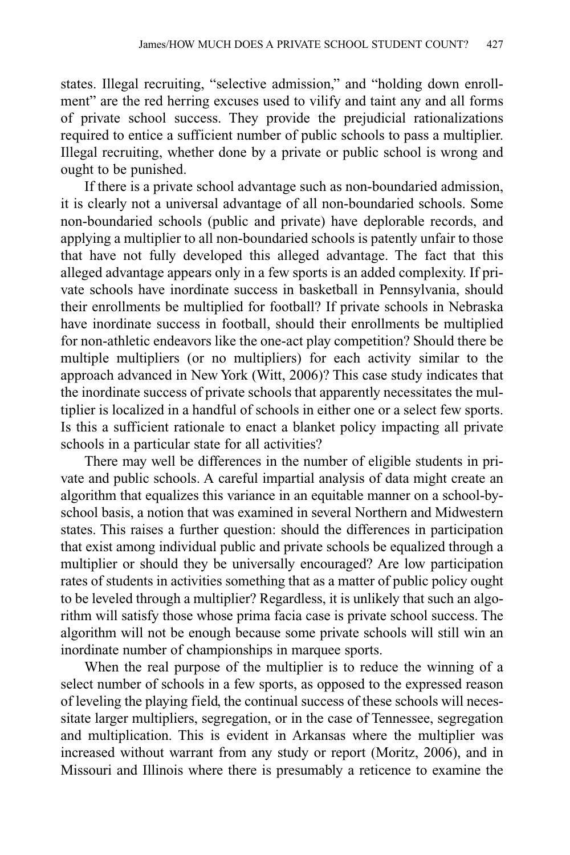states. Illegal recruiting, "selective admission," and "holding down enrollment" are the red herring excuses used to vilify and taint any and all forms of private school success. They provide the prejudicial rationalizations required to entice a sufficient number of public schools to pass a multiplier. Illegal recruiting, whether done by a private or public school is wrong and ought to be punished.

If there is a private school advantage such as non-boundaried admission, it is clearly not a universal advantage of all non-boundaried schools. Some non-boundaried schools (public and private) have deplorable records, and applying a multiplier to all non-boundaried schools is patently unfair to those that have not fully developed this alleged advantage. The fact that this alleged advantage appears only in a few sports is an added complexity. If private schools have inordinate success in basketball in Pennsylvania, should their enrollments be multiplied for football? If private schools in Nebraska have inordinate success in football, should their enrollments be multiplied for non-athletic endeavors like the one-act play competition? Should there be multiple multipliers (or no multipliers) for each activity similar to the approach advanced in New York (Witt, 2006)? This case study indicates that the inordinate success of private schools that apparently necessitates the multiplier is localized in a handful of schools in either one or a select few sports. Is this a sufficient rationale to enact a blanket policy impacting all private schools in a particular state for all activities?

There may well be differences in the number of eligible students in private and public schools. A careful impartial analysis of data might create an algorithm that equalizes this variance in an equitable manner on a school-byschool basis, a notion that was examined in several Northern and Midwestern states. This raises a further question: should the differences in participation that exist among individual public and private schools be equalized through a multiplier or should they be universally encouraged? Are low participation rates of students in activities something that as a matter of public policy ought to be leveled through a multiplier? Regardless, it is unlikely that such an algorithm will satisfy those whose prima facia case is private school success. The algorithm will not be enough because some private schools will still win an inordinate number of championships in marquee sports.

When the real purpose of the multiplier is to reduce the winning of a select number of schools in a few sports, as opposed to the expressed reason of leveling the playing field, the continual success of these schools will necessitate larger multipliers, segregation, or in the case of Tennessee, segregation and multiplication. This is evident in Arkansas where the multiplier was increased without warrant from any study or report (Moritz, 2006), and in Missouri and Illinois where there is presumably a reticence to examine the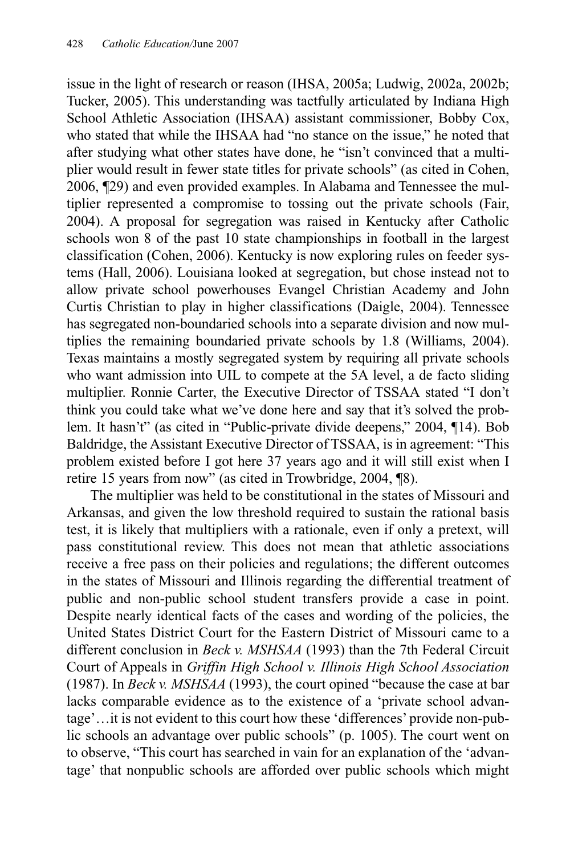issue in the light of research or reason (IHSA, 2005a; Ludwig, 2002a, 2002b; Tucker, 2005). This understanding was tactfully articulated by Indiana High School Athletic Association (IHSAA) assistant commissioner, Bobby Cox, who stated that while the IHSAA had "no stance on the issue," he noted that after studying what other states have done, he "isn't convinced that a multiplier would result in fewer state titles for private schools" (as cited in Cohen, 2006, ¶29) and even provided examples. In Alabama and Tennessee the multiplier represented a compromise to tossing out the private schools (Fair, 2004). A proposal for segregation was raised in Kentucky after Catholic schools won 8 of the past 10 state championships in football in the largest classification (Cohen, 2006). Kentucky is now exploring rules on feeder systems (Hall, 2006). Louisiana looked at segregation, but chose instead not to allow private school powerhouses Evangel Christian Academy and John Curtis Christian to play in higher classifications (Daigle, 2004). Tennessee has segregated non-boundaried schools into a separate division and now multiplies the remaining boundaried private schools by 1.8 (Williams, 2004). Texas maintains a mostly segregated system by requiring all private schools who want admission into UIL to compete at the 5A level, a de facto sliding multiplier. Ronnie Carter, the Executive Director of TSSAA stated "I don't think you could take what we've done here and say that it's solved the problem. It hasn't" (as cited in "Public-private divide deepens," 2004, ¶14). Bob Baldridge, the Assistant Executive Director of TSSAA, is in agreement: "This problem existed before I got here 37 years ago and it will still exist when I retire 15 years from now" (as cited in Trowbridge, 2004, ¶8).

The multiplier was held to be constitutional in the states of Missouri and Arkansas, and given the low threshold required to sustain the rational basis test, it is likely that multipliers with a rationale, even if only a pretext, will pass constitutional review. This does not mean that athletic associations receive a free pass on their policies and regulations; the different outcomes in the states of Missouri and Illinois regarding the differential treatment of public and non-public school student transfers provide a case in point. Despite nearly identical facts of the cases and wording of the policies, the United States District Court for the Eastern District of Missouri came to a different conclusion in *Beck v. MSHSAA* (1993) than the 7th Federal Circuit Court of Appeals in *Griffin High School v. Illinois High School Association* (1987). In *Beck v. MSHSAA* (1993), the court opined "because the case at bar lacks comparable evidence as to the existence of a 'private school advantage'…it is not evident to this court how these 'differences' provide non-public schools an advantage over public schools" (p. 1005). The court went on to observe, "This court has searched in vain for an explanation of the 'advantage' that nonpublic schools are afforded over public schools which might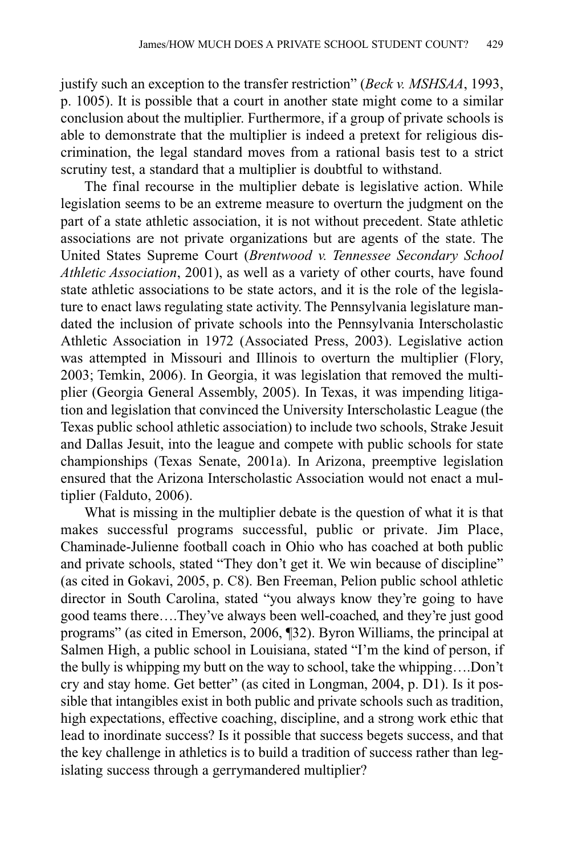justify such an exception to the transfer restriction" (*Beck v. MSHSAA*, 1993, p. 1005). It is possible that a court in another state might come to a similar conclusion about the multiplier. Furthermore, if a group of private schools is able to demonstrate that the multiplier is indeed a pretext for religious discrimination, the legal standard moves from a rational basis test to a strict scrutiny test, a standard that a multiplier is doubtful to withstand.

The final recourse in the multiplier debate is legislative action. While legislation seems to be an extreme measure to overturn the judgment on the part of a state athletic association, it is not without precedent. State athletic associations are not private organizations but are agents of the state. The United States Supreme Court (*Brentwood v. Tennessee Secondary School Athletic Association*, 2001), as well as a variety of other courts, have found state athletic associations to be state actors, and it is the role of the legislature to enact laws regulating state activity. The Pennsylvania legislature mandated the inclusion of private schools into the Pennsylvania Interscholastic Athletic Association in 1972 (Associated Press, 2003). Legislative action was attempted in Missouri and Illinois to overturn the multiplier (Flory, 2003; Temkin, 2006). In Georgia, it was legislation that removed the multiplier (Georgia General Assembly, 2005). In Texas, it was impending litigation and legislation that convinced the University Interscholastic League (the Texas public school athletic association) to include two schools, Strake Jesuit and Dallas Jesuit, into the league and compete with public schools for state championships (Texas Senate, 2001a). In Arizona, preemptive legislation ensured that the Arizona Interscholastic Association would not enact a multiplier (Falduto, 2006).

What is missing in the multiplier debate is the question of what it is that makes successful programs successful, public or private. Jim Place, Chaminade-Julienne football coach in Ohio who has coached at both public and private schools, stated "They don't get it. We win because of discipline" (as cited in Gokavi, 2005, p. C8). Ben Freeman, Pelion public school athletic director in South Carolina, stated "you always know they're going to have good teams there….They've always been well-coached, and they're just good programs" (as cited in Emerson, 2006, ¶32). Byron Williams, the principal at Salmen High, a public school in Louisiana, stated "I'm the kind of person, if the bully is whipping my butt on the way to school, take the whipping….Don't cry and stay home. Get better" (as cited in Longman, 2004, p. D1). Is it possible that intangibles exist in both public and private schools such as tradition, high expectations, effective coaching, discipline, and a strong work ethic that lead to inordinate success? Is it possible that success begets success, and that the key challenge in athletics is to build a tradition of success rather than legislating success through a gerrymandered multiplier?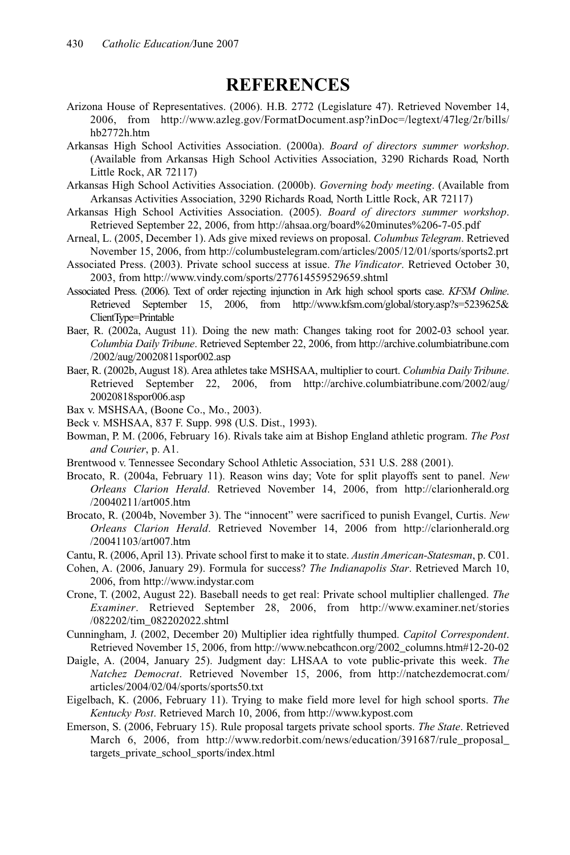#### **REFERENCES**

- Arizona House of Representatives. (2006). H.B. 2772 (Legislature 47). Retrieved November 14, 2006, from http://www.azleg.gov/FormatDocument.asp?inDoc=/legtext/47leg/2r/bills/ hb2772h.htm
- Arkansas High School Activities Association. (2000a). *Board of directors summer workshop*. (Available from Arkansas High School Activities Association, 3290 Richards Road, North Little Rock, AR 72117)
- Arkansas High School Activities Association. (2000b). *Governing body meeting*. (Available from Arkansas Activities Association, 3290 Richards Road, North Little Rock, AR 72117)
- Arkansas High School Activities Association. (2005). *Board of directors summer workshop*. Retrieved September 22, 2006, from http://ahsaa.org/board%20minutes%206-7-05.pdf
- Arneal, L. (2005, December 1). Ads give mixed reviews on proposal. *Columbus Telegram*. Retrieved November 15, 2006, from http://columbustelegram.com/articles/2005/12/01/sports/sports2.prt
- Associated Press. (2003). Private school success at issue. *The Vindicator*. Retrieved October 30, 2003, from http://www.vindy.com/sports/277614559529659.shtml
- Associated Press. (2006). Text of order rejecting injunction in Ark high school sports case. *KFSM Online*. Retrieved September 15, 2006, from http://www.kfsm.com/global/story.asp?s=5239625& ClientType=Printable
- Baer, R. (2002a, August 11). Doing the new math: Changes taking root for 2002-03 school year. *Columbia Daily Tribune*. Retrieved September 22, 2006, from http://archive.columbiatribune.com /2002/aug/20020811spor002.asp
- Baer, R. (2002b, August 18). Area athletes take MSHSAA, multiplier to court. *Columbia Daily Tribune*. Retrieved September 22, 2006, from http://archive.columbiatribune.com/2002/aug/ 20020818spor006.asp
- Bax v. MSHSAA, (Boone Co., Mo., 2003).
- Beck v. MSHSAA, 837 F. Supp. 998 (U.S. Dist., 1993).
- Bowman, P. M. (2006, February 16). Rivals take aim at Bishop England athletic program. *The Post and Courier*, p. A1.
- Brentwood v. Tennessee Secondary School Athletic Association, 531 U.S. 288 (2001).
- Brocato, R. (2004a, February 11). Reason wins day; Vote for split playoffs sent to panel. *New Orleans Clarion Herald*. Retrieved November 14, 2006, from http://clarionherald.org /20040211/art005.htm
- Brocato, R. (2004b, November 3). The "innocent" were sacrificed to punish Evangel, Curtis. *New Orleans Clarion Herald*. Retrieved November 14, 2006 from http://clarionherald.org /20041103/art007.htm
- Cantu, R. (2006, April 13). Private school first to make it to state. *Austin American-Statesman*, p. C01.
- Cohen, A. (2006, January 29). Formula for success? *The Indianapolis Star*. Retrieved March 10, 2006, from http://www.indystar.com
- Crone, T. (2002, August 22). Baseball needs to get real: Private school multiplier challenged. *The Examiner*. Retrieved September 28, 2006, from http://www.examiner.net/stories /082202/tim\_082202022.shtml
- Cunningham, J. (2002, December 20) Multiplier idea rightfully thumped. *Capitol Correspondent*. Retrieved November 15, 2006, from http://www.nebcathcon.org/2002\_columns.htm#12-20-02
- Daigle, A. (2004, January 25). Judgment day: LHSAA to vote public-private this week. *The Natchez Democrat*. Retrieved November 15, 2006, from http://natchezdemocrat.com/ articles/2004/02/04/sports/sports50.txt
- Eigelbach, K. (2006, February 11). Trying to make field more level for high school sports. *The Kentucky Post*. Retrieved March 10, 2006, from http://www.kypost.com
- Emerson, S. (2006, February 15). Rule proposal targets private school sports. *The State*. Retrieved March 6, 2006, from http://www.redorbit.com/news/education/391687/rule\_proposal\_ targets\_private\_school\_sports/index.html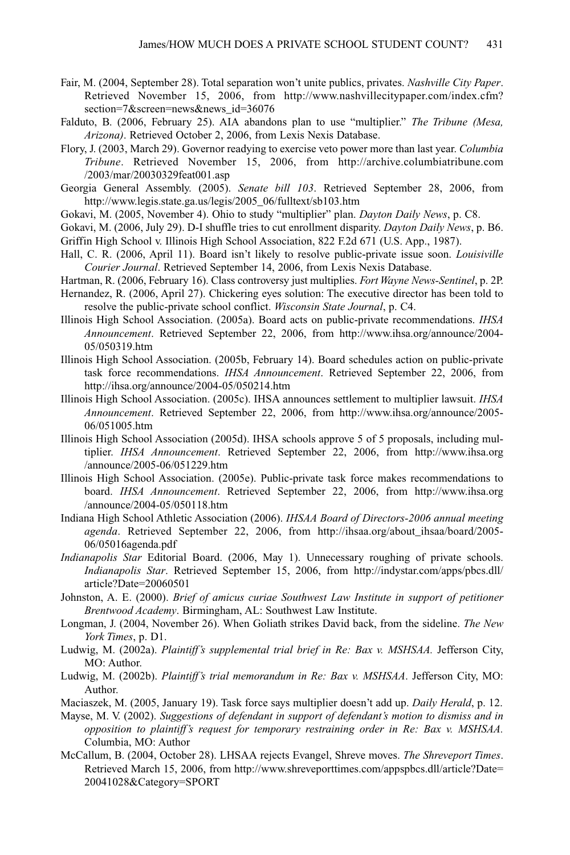- Fair, M. (2004, September 28). Total separation won't unite publics, privates. *Nashville City Paper*. Retrieved November 15, 2006, from http://www.nashvillecitypaper.com/index.cfm? section=7&screen=news&news\_id=36076
- Falduto, B. (2006, February 25). AIA abandons plan to use "multiplier." *The Tribune (Mesa, Arizona)*. Retrieved October 2, 2006, from Lexis Nexis Database.
- Flory, J. (2003, March 29). Governor readying to exercise veto power more than last year. *Columbia Tribune*. Retrieved November 15, 2006, from http://archive.columbiatribune.com /2003/mar/20030329feat001.asp
- Georgia General Assembly. (2005). *Senate bill 103*. Retrieved September 28, 2006, from http://www.legis.state.ga.us/legis/2005\_06/fulltext/sb103.htm
- Gokavi, M. (2005, November 4). Ohio to study "multiplier" plan. *Dayton Daily News*, p. C8.
- Gokavi, M. (2006, July 29). D-I shuffle tries to cut enrollment disparity. *Dayton Daily News*, p. B6. Griffin High School v. Illinois High School Association, 822 F.2d 671 (U.S. App., 1987).
- Hall, C. R. (2006, April 11). Board isn't likely to resolve public-private issue soon. *Louisiville Courier Journal*. Retrieved September 14, 2006, from Lexis Nexis Database.
- Hartman, R. (2006, February 16). Class controversy just multiplies. *Fort Wayne News-Sentinel*, p. 2P. Hernandez, R. (2006, April 27). Chickering eyes solution: The executive director has been told to
- resolve the public-private school conflict. *Wisconsin State Journal*, p. C4.
- Illinois High School Association. (2005a). Board acts on public-private recommendations. *IHSA Announcement*. Retrieved September 22, 2006, from http://www.ihsa.org/announce/2004- 05/050319.htm
- Illinois High School Association. (2005b, February 14). Board schedules action on public-private task force recommendations. *IHSA Announcement*. Retrieved September 22, 2006, from http://ihsa.org/announce/2004-05/050214.htm
- Illinois High School Association. (2005c). IHSA announces settlement to multiplier lawsuit. *IHSA Announcement*. Retrieved September 22, 2006, from http://www.ihsa.org/announce/2005- 06/051005.htm
- Illinois High School Association (2005d). IHSA schools approve 5 of 5 proposals, including multiplier. *IHSA Announcement*. Retrieved September 22, 2006, from http://www.ihsa.org /announce/2005-06/051229.htm
- Illinois High School Association. (2005e). Public-private task force makes recommendations to board. *IHSA Announcement*. Retrieved September 22, 2006, from http://www.ihsa.org /announce/2004-05/050118.htm
- Indiana High School Athletic Association (2006). *IHSAA Board of Directors-2006 annual meeting agenda*. Retrieved September 22, 2006, from http://ihsaa.org/about\_ihsaa/board/2005- 06/05016agenda.pdf
- *Indianapolis Star* Editorial Board. (2006, May 1). Unnecessary roughing of private schools. *Indianapolis Star*. Retrieved September 15, 2006, from http://indystar.com/apps/pbcs.dll/ article?Date=20060501
- Johnston, A. E. (2000). *Brief of amicus curiae Southwest Law Institute in support of petitioner Brentwood Academy*. Birmingham, AL: Southwest Law Institute.
- Longman, J. (2004, November 26). When Goliath strikes David back, from the sideline. *The New York Times*, p. D1.
- Ludwig, M. (2002a). *Plaintiff's supplemental trial brief in Re: Bax v. MSHSAA.* Jefferson City, MO: Author.
- Ludwig, M. (2002b). *Plaintiff's trial memorandum in Re: Bax v. MSHSAA*. Jefferson City, MO: Author.
- Maciaszek, M. (2005, January 19). Task force says multiplier doesn't add up. *Daily Herald*, p. 12.
- Mayse, M. V. (2002). *Suggestions of defendant in support of defendant's motion to dismiss and in opposition to plaintiff's request for temporary restraining order in Re: Bax v. MSHSAA.* Columbia, MO: Author
- McCallum, B. (2004, October 28). LHSAA rejects Evangel, Shreve moves. *The Shreveport Times*. Retrieved March 15, 2006, from http://www.shreveporttimes.com/appspbcs.dll/article?Date= 20041028&Category=SPORT